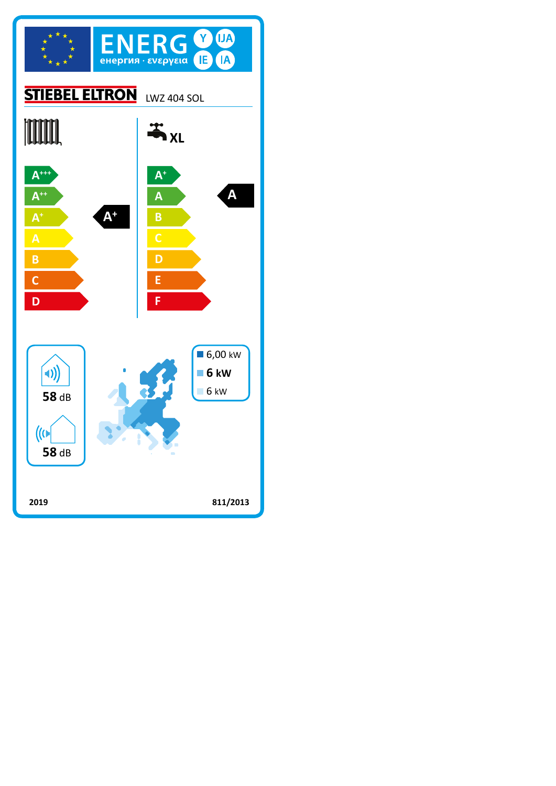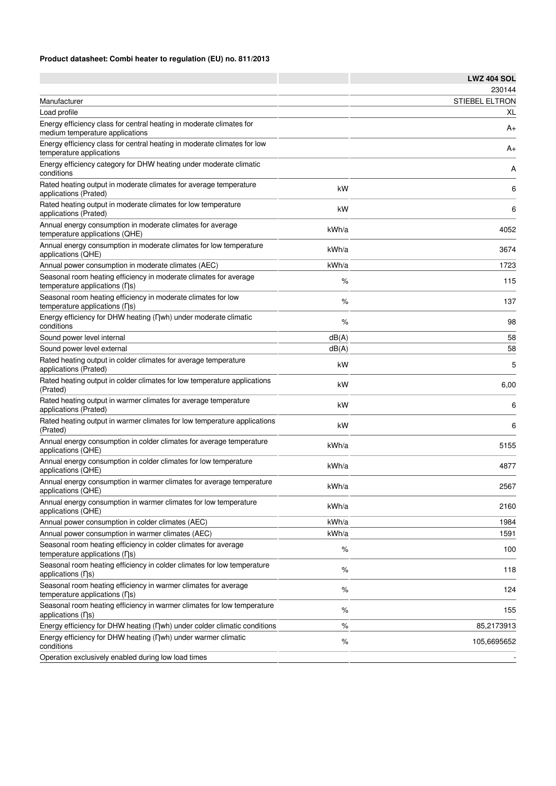## **Product datasheet: Combi heater to regulation (EU) no. 811/2013**

|                                                                                                         |       | <b>LWZ 404 SOL</b>    |
|---------------------------------------------------------------------------------------------------------|-------|-----------------------|
|                                                                                                         |       | 230144                |
| Manufacturer                                                                                            |       | <b>STIEBEL ELTRON</b> |
| Load profile                                                                                            |       | XL                    |
| Energy efficiency class for central heating in moderate climates for<br>medium temperature applications |       | A+                    |
| Energy efficiency class for central heating in moderate climates for low<br>temperature applications    |       | A+                    |
| Energy efficiency category for DHW heating under moderate climatic<br>conditions                        |       | Α                     |
| Rated heating output in moderate climates for average temperature<br>applications (Prated)              | kW    | 6                     |
| Rated heating output in moderate climates for low temperature<br>applications (Prated)                  | kW    | 6                     |
| Annual energy consumption in moderate climates for average<br>temperature applications (QHE)            | kWh/a | 4052                  |
| Annual energy consumption in moderate climates for low temperature<br>applications (QHE)                | kWh/a | 3674                  |
| Annual power consumption in moderate climates (AEC)                                                     | kWh/a | 1723                  |
| Seasonal room heating efficiency in moderate climates for average<br>temperature applications (ns)      | %     | 115                   |
| Seasonal room heating efficiency in moderate climates for low<br>temperature applications (ns)          | %     | 137                   |
| Energy efficiency for DHW heating (nwh) under moderate climatic<br>conditions                           | %     | 98                    |
| Sound power level internal                                                                              | dB(A) | 58                    |
| Sound power level external                                                                              | dB(A) | 58                    |
| Rated heating output in colder climates for average temperature<br>applications (Prated)                | kW    | 5                     |
| Rated heating output in colder climates for low temperature applications<br>(Prated)                    | kW    | 6,00                  |
| Rated heating output in warmer climates for average temperature<br>applications (Prated)                | kW    | 6                     |
| Rated heating output in warmer climates for low temperature applications<br>(Prated)                    | kW    | 6                     |
| Annual energy consumption in colder climates for average temperature<br>applications (QHE)              | kWh/a | 5155                  |
| Annual energy consumption in colder climates for low temperature<br>applications (QHE)                  | kWh/a | 4877                  |
| Annual energy consumption in warmer climates for average temperature<br>applications (QHE)              | kWh/a | 2567                  |
| Annual energy consumption in warmer climates for low temperature<br>applications (QHE)                  | kWh/a | 2160                  |
| Annual power consumption in colder climates (AEC)                                                       | kWh/a | 1984                  |
| Annual power consumption in warmer climates (AEC)                                                       | kWh/a | 1591                  |
| Seasonal room heating efficiency in colder climates for average<br>temperature applications (ns)        | %     | 100                   |
| Seasonal room heating efficiency in colder climates for low temperature<br>applications $( \nabla s)$   | $\%$  | 118                   |
| Seasonal room heating efficiency in warmer climates for average<br>temperature applications (ns)        | $\%$  | 124                   |
| Seasonal room heating efficiency in warmer climates for low temperature<br>applications (ns)            | $\%$  | 155                   |
| Energy efficiency for DHW heating (nwh) under colder climatic conditions                                | %     | 85,2173913            |
| Energy efficiency for DHW heating (Dwh) under warmer climatic<br>conditions                             | %     | 105,6695652           |
| Operation exclusively enabled during low load times                                                     |       |                       |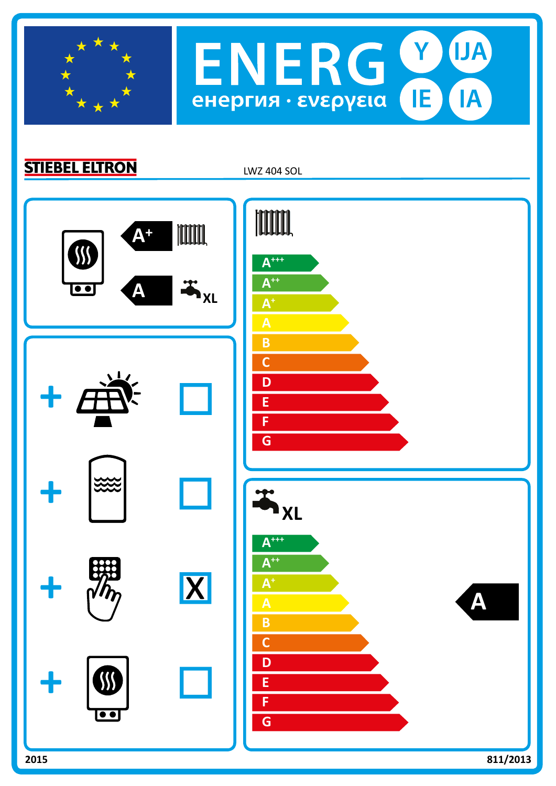

**STIEBEL ELTRON** 

LWZ 404 SOL

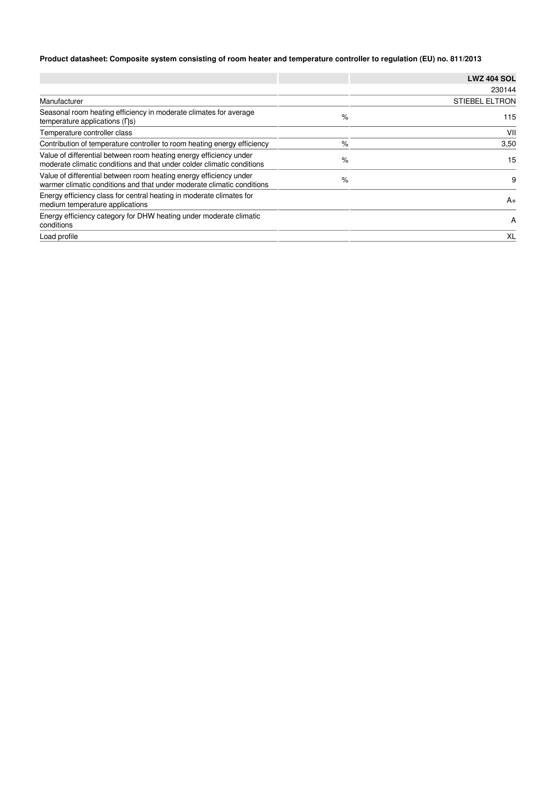## **Product datasheet: Composite system consisting of room heater and temperature controller to regulation (EU) no. 811/2013**

|                                                                                                                                              |   | <b>LWZ 404 SOL</b>    |
|----------------------------------------------------------------------------------------------------------------------------------------------|---|-----------------------|
|                                                                                                                                              |   | 230144                |
| Manufacturer                                                                                                                                 |   | <b>STIEBEL ELTRON</b> |
| Seasonal room heating efficiency in moderate climates for average<br>temperature applications (ns)                                           | % | 115                   |
| Temperature controller class                                                                                                                 |   | VII                   |
| Contribution of temperature controller to room heating energy efficiency                                                                     | % | 3,50                  |
| Value of differential between room heating energy efficiency under<br>moderate climatic conditions and that under colder climatic conditions | % | 15                    |
| Value of differential between room heating energy efficiency under<br>warmer climatic conditions and that under moderate climatic conditions | % | 9                     |
| Energy efficiency class for central heating in moderate climates for<br>medium temperature applications                                      |   | $A+$                  |
| Energy efficiency category for DHW heating under moderate climatic<br>conditions                                                             |   | A                     |
| Load profile                                                                                                                                 |   | XL                    |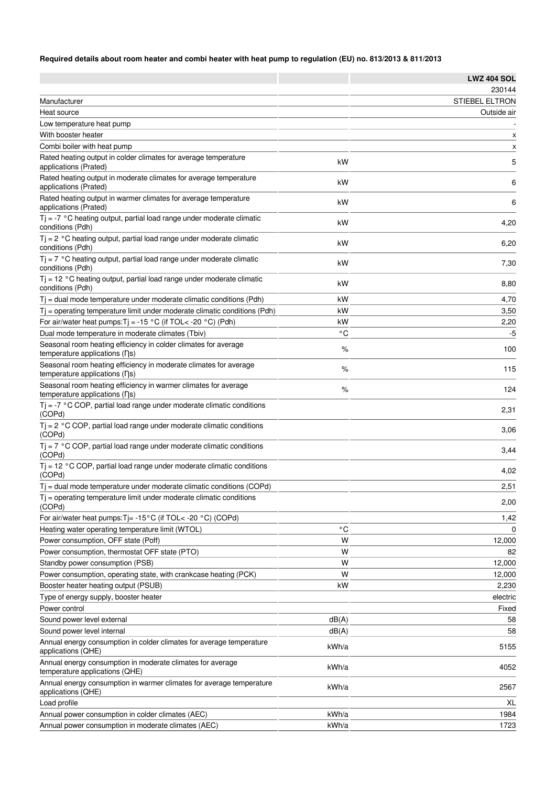## **Required details about room heater and combi heater with heat pump to regulation (EU) no. 813/2013 & 811/2013**

| 230144<br><b>STIEBEL ELTRON</b><br>Manufacturer<br>Outside air<br>Heat source<br>Low temperature heat pump<br>With booster heater<br>X<br>Combi boiler with heat pump<br>$\boldsymbol{\mathsf{x}}$<br>Rated heating output in colder climates for average temperature<br>5<br>kW<br>applications (Prated)<br>Rated heating output in moderate climates for average temperature<br>kW<br>6<br>applications (Prated)<br>Rated heating output in warmer climates for average temperature<br>kW<br>6<br>applications (Prated)<br>$Tj = -7$ °C heating output, partial load range under moderate climatic<br>kW<br>4,20<br>conditions (Pdh)<br>$Tj = 2 °C$ heating output, partial load range under moderate climatic<br>kW<br>6,20<br>conditions (Pdh)<br>$Tj = 7$ °C heating output, partial load range under moderate climatic<br>kW<br>7,30<br>conditions (Pdh)<br>$Tj = 12 °C$ heating output, partial load range under moderate climatic<br>kW<br>8,80<br>conditions (Pdh)<br>$T$ = dual mode temperature under moderate climatic conditions (Pdh)<br>kW<br>4,70<br>$T_i$ = operating temperature limit under moderate climatic conditions (Pdh)<br>kW<br>3,50<br>For air/water heat pumps: $Tj = -15 °C$ (if TOL< -20 °C) (Pdh)<br>kW<br>2,20<br>Dual mode temperature in moderate climates (Tbiv)<br>۰c<br>-5<br>Seasonal room heating efficiency in colder climates for average<br>100<br>$\%$<br>temperature applications (ns)<br>Seasonal room heating efficiency in moderate climates for average<br>%<br>115<br>temperature applications (ns)<br>Seasonal room heating efficiency in warmer climates for average<br>$\%$<br>124<br>temperature applications (ns)<br>$Tj = -7$ °C COP, partial load range under moderate climatic conditions<br>2,31<br>(COPd)<br>$Tj = 2 °C COP$ , partial load range under moderate climatic conditions<br>3,06<br>(COPd)<br>$Tj = 7$ °C COP, partial load range under moderate climatic conditions<br>3,44<br>(COPd)<br>$Tj = 12 °C$ COP, partial load range under moderate climatic conditions<br>4,02<br>Tj = dual mode temperature under moderate climatic conditions (COPd)<br>2,51<br>$T_i$ = operating temperature limit under moderate climatic conditions<br>2,00<br>(COPd)<br>For air/water heat pumps: $Tj = -15^{\circ}C$ (if TOL< -20 $^{\circ}C$ ) (COPd)<br>1,42<br>۰c<br>Heating water operating temperature limit (WTOL)<br>$\Omega$<br>W<br>Power consumption, OFF state (Poff)<br>12,000<br>Power consumption, thermostat OFF state (PTO)<br>W<br>82<br>W<br>Standby power consumption (PSB)<br>12,000<br>W<br>Power consumption, operating state, with crankcase heating (PCK)<br>12,000<br>kW<br>Booster heater heating output (PSUB)<br>2,230<br>Type of energy supply, booster heater<br>electric<br>Power control<br>Fixed<br>dB(A)<br>Sound power level external<br>58<br>Sound power level internal<br>dB(A)<br>58<br>Annual energy consumption in colder climates for average temperature<br>kWh/a<br>5155<br>applications (QHE)<br>Annual energy consumption in moderate climates for average<br>kWh/a<br>4052<br>temperature applications (QHE)<br>Annual energy consumption in warmer climates for average temperature<br>kWh/a<br>2567<br>applications (QHE)<br>Load profile<br>XL<br>kWh/a<br>Annual power consumption in colder climates (AEC)<br>1984<br>Annual power consumption in moderate climates (AEC)<br>kWh/a<br>1723 |        | <b>LWZ 404 SOL</b> |
|----------------------------------------------------------------------------------------------------------------------------------------------------------------------------------------------------------------------------------------------------------------------------------------------------------------------------------------------------------------------------------------------------------------------------------------------------------------------------------------------------------------------------------------------------------------------------------------------------------------------------------------------------------------------------------------------------------------------------------------------------------------------------------------------------------------------------------------------------------------------------------------------------------------------------------------------------------------------------------------------------------------------------------------------------------------------------------------------------------------------------------------------------------------------------------------------------------------------------------------------------------------------------------------------------------------------------------------------------------------------------------------------------------------------------------------------------------------------------------------------------------------------------------------------------------------------------------------------------------------------------------------------------------------------------------------------------------------------------------------------------------------------------------------------------------------------------------------------------------------------------------------------------------------------------------------------------------------------------------------------------------------------------------------------------------------------------------------------------------------------------------------------------------------------------------------------------------------------------------------------------------------------------------------------------------------------------------------------------------------------------------------------------------------------------------------------------------------------------------------------------------------------------------------------------------------------------------------------------------------------------------------------------------------------------------------------------------------------------------------------------------------------------------------------------------------------------------------------------------------------------------------------------------------------------------------------------------------------------------------------------------------------------------------------------------------------------------------------------------------------------------------------------------------------------------------------------------------------------------------------------------------------------------------------------------------------------------------------------------------------------------------------------------|--------|--------------------|
|                                                                                                                                                                                                                                                                                                                                                                                                                                                                                                                                                                                                                                                                                                                                                                                                                                                                                                                                                                                                                                                                                                                                                                                                                                                                                                                                                                                                                                                                                                                                                                                                                                                                                                                                                                                                                                                                                                                                                                                                                                                                                                                                                                                                                                                                                                                                                                                                                                                                                                                                                                                                                                                                                                                                                                                                                                                                                                                                                                                                                                                                                                                                                                                                                                                                                                                                                                                                          |        |                    |
|                                                                                                                                                                                                                                                                                                                                                                                                                                                                                                                                                                                                                                                                                                                                                                                                                                                                                                                                                                                                                                                                                                                                                                                                                                                                                                                                                                                                                                                                                                                                                                                                                                                                                                                                                                                                                                                                                                                                                                                                                                                                                                                                                                                                                                                                                                                                                                                                                                                                                                                                                                                                                                                                                                                                                                                                                                                                                                                                                                                                                                                                                                                                                                                                                                                                                                                                                                                                          |        |                    |
|                                                                                                                                                                                                                                                                                                                                                                                                                                                                                                                                                                                                                                                                                                                                                                                                                                                                                                                                                                                                                                                                                                                                                                                                                                                                                                                                                                                                                                                                                                                                                                                                                                                                                                                                                                                                                                                                                                                                                                                                                                                                                                                                                                                                                                                                                                                                                                                                                                                                                                                                                                                                                                                                                                                                                                                                                                                                                                                                                                                                                                                                                                                                                                                                                                                                                                                                                                                                          |        |                    |
|                                                                                                                                                                                                                                                                                                                                                                                                                                                                                                                                                                                                                                                                                                                                                                                                                                                                                                                                                                                                                                                                                                                                                                                                                                                                                                                                                                                                                                                                                                                                                                                                                                                                                                                                                                                                                                                                                                                                                                                                                                                                                                                                                                                                                                                                                                                                                                                                                                                                                                                                                                                                                                                                                                                                                                                                                                                                                                                                                                                                                                                                                                                                                                                                                                                                                                                                                                                                          |        |                    |
|                                                                                                                                                                                                                                                                                                                                                                                                                                                                                                                                                                                                                                                                                                                                                                                                                                                                                                                                                                                                                                                                                                                                                                                                                                                                                                                                                                                                                                                                                                                                                                                                                                                                                                                                                                                                                                                                                                                                                                                                                                                                                                                                                                                                                                                                                                                                                                                                                                                                                                                                                                                                                                                                                                                                                                                                                                                                                                                                                                                                                                                                                                                                                                                                                                                                                                                                                                                                          |        |                    |
|                                                                                                                                                                                                                                                                                                                                                                                                                                                                                                                                                                                                                                                                                                                                                                                                                                                                                                                                                                                                                                                                                                                                                                                                                                                                                                                                                                                                                                                                                                                                                                                                                                                                                                                                                                                                                                                                                                                                                                                                                                                                                                                                                                                                                                                                                                                                                                                                                                                                                                                                                                                                                                                                                                                                                                                                                                                                                                                                                                                                                                                                                                                                                                                                                                                                                                                                                                                                          |        |                    |
|                                                                                                                                                                                                                                                                                                                                                                                                                                                                                                                                                                                                                                                                                                                                                                                                                                                                                                                                                                                                                                                                                                                                                                                                                                                                                                                                                                                                                                                                                                                                                                                                                                                                                                                                                                                                                                                                                                                                                                                                                                                                                                                                                                                                                                                                                                                                                                                                                                                                                                                                                                                                                                                                                                                                                                                                                                                                                                                                                                                                                                                                                                                                                                                                                                                                                                                                                                                                          |        |                    |
|                                                                                                                                                                                                                                                                                                                                                                                                                                                                                                                                                                                                                                                                                                                                                                                                                                                                                                                                                                                                                                                                                                                                                                                                                                                                                                                                                                                                                                                                                                                                                                                                                                                                                                                                                                                                                                                                                                                                                                                                                                                                                                                                                                                                                                                                                                                                                                                                                                                                                                                                                                                                                                                                                                                                                                                                                                                                                                                                                                                                                                                                                                                                                                                                                                                                                                                                                                                                          |        |                    |
|                                                                                                                                                                                                                                                                                                                                                                                                                                                                                                                                                                                                                                                                                                                                                                                                                                                                                                                                                                                                                                                                                                                                                                                                                                                                                                                                                                                                                                                                                                                                                                                                                                                                                                                                                                                                                                                                                                                                                                                                                                                                                                                                                                                                                                                                                                                                                                                                                                                                                                                                                                                                                                                                                                                                                                                                                                                                                                                                                                                                                                                                                                                                                                                                                                                                                                                                                                                                          |        |                    |
|                                                                                                                                                                                                                                                                                                                                                                                                                                                                                                                                                                                                                                                                                                                                                                                                                                                                                                                                                                                                                                                                                                                                                                                                                                                                                                                                                                                                                                                                                                                                                                                                                                                                                                                                                                                                                                                                                                                                                                                                                                                                                                                                                                                                                                                                                                                                                                                                                                                                                                                                                                                                                                                                                                                                                                                                                                                                                                                                                                                                                                                                                                                                                                                                                                                                                                                                                                                                          |        |                    |
|                                                                                                                                                                                                                                                                                                                                                                                                                                                                                                                                                                                                                                                                                                                                                                                                                                                                                                                                                                                                                                                                                                                                                                                                                                                                                                                                                                                                                                                                                                                                                                                                                                                                                                                                                                                                                                                                                                                                                                                                                                                                                                                                                                                                                                                                                                                                                                                                                                                                                                                                                                                                                                                                                                                                                                                                                                                                                                                                                                                                                                                                                                                                                                                                                                                                                                                                                                                                          |        |                    |
|                                                                                                                                                                                                                                                                                                                                                                                                                                                                                                                                                                                                                                                                                                                                                                                                                                                                                                                                                                                                                                                                                                                                                                                                                                                                                                                                                                                                                                                                                                                                                                                                                                                                                                                                                                                                                                                                                                                                                                                                                                                                                                                                                                                                                                                                                                                                                                                                                                                                                                                                                                                                                                                                                                                                                                                                                                                                                                                                                                                                                                                                                                                                                                                                                                                                                                                                                                                                          |        |                    |
|                                                                                                                                                                                                                                                                                                                                                                                                                                                                                                                                                                                                                                                                                                                                                                                                                                                                                                                                                                                                                                                                                                                                                                                                                                                                                                                                                                                                                                                                                                                                                                                                                                                                                                                                                                                                                                                                                                                                                                                                                                                                                                                                                                                                                                                                                                                                                                                                                                                                                                                                                                                                                                                                                                                                                                                                                                                                                                                                                                                                                                                                                                                                                                                                                                                                                                                                                                                                          |        |                    |
|                                                                                                                                                                                                                                                                                                                                                                                                                                                                                                                                                                                                                                                                                                                                                                                                                                                                                                                                                                                                                                                                                                                                                                                                                                                                                                                                                                                                                                                                                                                                                                                                                                                                                                                                                                                                                                                                                                                                                                                                                                                                                                                                                                                                                                                                                                                                                                                                                                                                                                                                                                                                                                                                                                                                                                                                                                                                                                                                                                                                                                                                                                                                                                                                                                                                                                                                                                                                          |        |                    |
|                                                                                                                                                                                                                                                                                                                                                                                                                                                                                                                                                                                                                                                                                                                                                                                                                                                                                                                                                                                                                                                                                                                                                                                                                                                                                                                                                                                                                                                                                                                                                                                                                                                                                                                                                                                                                                                                                                                                                                                                                                                                                                                                                                                                                                                                                                                                                                                                                                                                                                                                                                                                                                                                                                                                                                                                                                                                                                                                                                                                                                                                                                                                                                                                                                                                                                                                                                                                          |        |                    |
|                                                                                                                                                                                                                                                                                                                                                                                                                                                                                                                                                                                                                                                                                                                                                                                                                                                                                                                                                                                                                                                                                                                                                                                                                                                                                                                                                                                                                                                                                                                                                                                                                                                                                                                                                                                                                                                                                                                                                                                                                                                                                                                                                                                                                                                                                                                                                                                                                                                                                                                                                                                                                                                                                                                                                                                                                                                                                                                                                                                                                                                                                                                                                                                                                                                                                                                                                                                                          |        |                    |
|                                                                                                                                                                                                                                                                                                                                                                                                                                                                                                                                                                                                                                                                                                                                                                                                                                                                                                                                                                                                                                                                                                                                                                                                                                                                                                                                                                                                                                                                                                                                                                                                                                                                                                                                                                                                                                                                                                                                                                                                                                                                                                                                                                                                                                                                                                                                                                                                                                                                                                                                                                                                                                                                                                                                                                                                                                                                                                                                                                                                                                                                                                                                                                                                                                                                                                                                                                                                          |        |                    |
|                                                                                                                                                                                                                                                                                                                                                                                                                                                                                                                                                                                                                                                                                                                                                                                                                                                                                                                                                                                                                                                                                                                                                                                                                                                                                                                                                                                                                                                                                                                                                                                                                                                                                                                                                                                                                                                                                                                                                                                                                                                                                                                                                                                                                                                                                                                                                                                                                                                                                                                                                                                                                                                                                                                                                                                                                                                                                                                                                                                                                                                                                                                                                                                                                                                                                                                                                                                                          |        |                    |
|                                                                                                                                                                                                                                                                                                                                                                                                                                                                                                                                                                                                                                                                                                                                                                                                                                                                                                                                                                                                                                                                                                                                                                                                                                                                                                                                                                                                                                                                                                                                                                                                                                                                                                                                                                                                                                                                                                                                                                                                                                                                                                                                                                                                                                                                                                                                                                                                                                                                                                                                                                                                                                                                                                                                                                                                                                                                                                                                                                                                                                                                                                                                                                                                                                                                                                                                                                                                          |        |                    |
|                                                                                                                                                                                                                                                                                                                                                                                                                                                                                                                                                                                                                                                                                                                                                                                                                                                                                                                                                                                                                                                                                                                                                                                                                                                                                                                                                                                                                                                                                                                                                                                                                                                                                                                                                                                                                                                                                                                                                                                                                                                                                                                                                                                                                                                                                                                                                                                                                                                                                                                                                                                                                                                                                                                                                                                                                                                                                                                                                                                                                                                                                                                                                                                                                                                                                                                                                                                                          |        |                    |
|                                                                                                                                                                                                                                                                                                                                                                                                                                                                                                                                                                                                                                                                                                                                                                                                                                                                                                                                                                                                                                                                                                                                                                                                                                                                                                                                                                                                                                                                                                                                                                                                                                                                                                                                                                                                                                                                                                                                                                                                                                                                                                                                                                                                                                                                                                                                                                                                                                                                                                                                                                                                                                                                                                                                                                                                                                                                                                                                                                                                                                                                                                                                                                                                                                                                                                                                                                                                          |        |                    |
|                                                                                                                                                                                                                                                                                                                                                                                                                                                                                                                                                                                                                                                                                                                                                                                                                                                                                                                                                                                                                                                                                                                                                                                                                                                                                                                                                                                                                                                                                                                                                                                                                                                                                                                                                                                                                                                                                                                                                                                                                                                                                                                                                                                                                                                                                                                                                                                                                                                                                                                                                                                                                                                                                                                                                                                                                                                                                                                                                                                                                                                                                                                                                                                                                                                                                                                                                                                                          |        |                    |
|                                                                                                                                                                                                                                                                                                                                                                                                                                                                                                                                                                                                                                                                                                                                                                                                                                                                                                                                                                                                                                                                                                                                                                                                                                                                                                                                                                                                                                                                                                                                                                                                                                                                                                                                                                                                                                                                                                                                                                                                                                                                                                                                                                                                                                                                                                                                                                                                                                                                                                                                                                                                                                                                                                                                                                                                                                                                                                                                                                                                                                                                                                                                                                                                                                                                                                                                                                                                          |        |                    |
|                                                                                                                                                                                                                                                                                                                                                                                                                                                                                                                                                                                                                                                                                                                                                                                                                                                                                                                                                                                                                                                                                                                                                                                                                                                                                                                                                                                                                                                                                                                                                                                                                                                                                                                                                                                                                                                                                                                                                                                                                                                                                                                                                                                                                                                                                                                                                                                                                                                                                                                                                                                                                                                                                                                                                                                                                                                                                                                                                                                                                                                                                                                                                                                                                                                                                                                                                                                                          |        |                    |
|                                                                                                                                                                                                                                                                                                                                                                                                                                                                                                                                                                                                                                                                                                                                                                                                                                                                                                                                                                                                                                                                                                                                                                                                                                                                                                                                                                                                                                                                                                                                                                                                                                                                                                                                                                                                                                                                                                                                                                                                                                                                                                                                                                                                                                                                                                                                                                                                                                                                                                                                                                                                                                                                                                                                                                                                                                                                                                                                                                                                                                                                                                                                                                                                                                                                                                                                                                                                          | (COPd) |                    |
|                                                                                                                                                                                                                                                                                                                                                                                                                                                                                                                                                                                                                                                                                                                                                                                                                                                                                                                                                                                                                                                                                                                                                                                                                                                                                                                                                                                                                                                                                                                                                                                                                                                                                                                                                                                                                                                                                                                                                                                                                                                                                                                                                                                                                                                                                                                                                                                                                                                                                                                                                                                                                                                                                                                                                                                                                                                                                                                                                                                                                                                                                                                                                                                                                                                                                                                                                                                                          |        |                    |
|                                                                                                                                                                                                                                                                                                                                                                                                                                                                                                                                                                                                                                                                                                                                                                                                                                                                                                                                                                                                                                                                                                                                                                                                                                                                                                                                                                                                                                                                                                                                                                                                                                                                                                                                                                                                                                                                                                                                                                                                                                                                                                                                                                                                                                                                                                                                                                                                                                                                                                                                                                                                                                                                                                                                                                                                                                                                                                                                                                                                                                                                                                                                                                                                                                                                                                                                                                                                          |        |                    |
|                                                                                                                                                                                                                                                                                                                                                                                                                                                                                                                                                                                                                                                                                                                                                                                                                                                                                                                                                                                                                                                                                                                                                                                                                                                                                                                                                                                                                                                                                                                                                                                                                                                                                                                                                                                                                                                                                                                                                                                                                                                                                                                                                                                                                                                                                                                                                                                                                                                                                                                                                                                                                                                                                                                                                                                                                                                                                                                                                                                                                                                                                                                                                                                                                                                                                                                                                                                                          |        |                    |
|                                                                                                                                                                                                                                                                                                                                                                                                                                                                                                                                                                                                                                                                                                                                                                                                                                                                                                                                                                                                                                                                                                                                                                                                                                                                                                                                                                                                                                                                                                                                                                                                                                                                                                                                                                                                                                                                                                                                                                                                                                                                                                                                                                                                                                                                                                                                                                                                                                                                                                                                                                                                                                                                                                                                                                                                                                                                                                                                                                                                                                                                                                                                                                                                                                                                                                                                                                                                          |        |                    |
|                                                                                                                                                                                                                                                                                                                                                                                                                                                                                                                                                                                                                                                                                                                                                                                                                                                                                                                                                                                                                                                                                                                                                                                                                                                                                                                                                                                                                                                                                                                                                                                                                                                                                                                                                                                                                                                                                                                                                                                                                                                                                                                                                                                                                                                                                                                                                                                                                                                                                                                                                                                                                                                                                                                                                                                                                                                                                                                                                                                                                                                                                                                                                                                                                                                                                                                                                                                                          |        |                    |
|                                                                                                                                                                                                                                                                                                                                                                                                                                                                                                                                                                                                                                                                                                                                                                                                                                                                                                                                                                                                                                                                                                                                                                                                                                                                                                                                                                                                                                                                                                                                                                                                                                                                                                                                                                                                                                                                                                                                                                                                                                                                                                                                                                                                                                                                                                                                                                                                                                                                                                                                                                                                                                                                                                                                                                                                                                                                                                                                                                                                                                                                                                                                                                                                                                                                                                                                                                                                          |        |                    |
|                                                                                                                                                                                                                                                                                                                                                                                                                                                                                                                                                                                                                                                                                                                                                                                                                                                                                                                                                                                                                                                                                                                                                                                                                                                                                                                                                                                                                                                                                                                                                                                                                                                                                                                                                                                                                                                                                                                                                                                                                                                                                                                                                                                                                                                                                                                                                                                                                                                                                                                                                                                                                                                                                                                                                                                                                                                                                                                                                                                                                                                                                                                                                                                                                                                                                                                                                                                                          |        |                    |
|                                                                                                                                                                                                                                                                                                                                                                                                                                                                                                                                                                                                                                                                                                                                                                                                                                                                                                                                                                                                                                                                                                                                                                                                                                                                                                                                                                                                                                                                                                                                                                                                                                                                                                                                                                                                                                                                                                                                                                                                                                                                                                                                                                                                                                                                                                                                                                                                                                                                                                                                                                                                                                                                                                                                                                                                                                                                                                                                                                                                                                                                                                                                                                                                                                                                                                                                                                                                          |        |                    |
|                                                                                                                                                                                                                                                                                                                                                                                                                                                                                                                                                                                                                                                                                                                                                                                                                                                                                                                                                                                                                                                                                                                                                                                                                                                                                                                                                                                                                                                                                                                                                                                                                                                                                                                                                                                                                                                                                                                                                                                                                                                                                                                                                                                                                                                                                                                                                                                                                                                                                                                                                                                                                                                                                                                                                                                                                                                                                                                                                                                                                                                                                                                                                                                                                                                                                                                                                                                                          |        |                    |
|                                                                                                                                                                                                                                                                                                                                                                                                                                                                                                                                                                                                                                                                                                                                                                                                                                                                                                                                                                                                                                                                                                                                                                                                                                                                                                                                                                                                                                                                                                                                                                                                                                                                                                                                                                                                                                                                                                                                                                                                                                                                                                                                                                                                                                                                                                                                                                                                                                                                                                                                                                                                                                                                                                                                                                                                                                                                                                                                                                                                                                                                                                                                                                                                                                                                                                                                                                                                          |        |                    |
|                                                                                                                                                                                                                                                                                                                                                                                                                                                                                                                                                                                                                                                                                                                                                                                                                                                                                                                                                                                                                                                                                                                                                                                                                                                                                                                                                                                                                                                                                                                                                                                                                                                                                                                                                                                                                                                                                                                                                                                                                                                                                                                                                                                                                                                                                                                                                                                                                                                                                                                                                                                                                                                                                                                                                                                                                                                                                                                                                                                                                                                                                                                                                                                                                                                                                                                                                                                                          |        |                    |
|                                                                                                                                                                                                                                                                                                                                                                                                                                                                                                                                                                                                                                                                                                                                                                                                                                                                                                                                                                                                                                                                                                                                                                                                                                                                                                                                                                                                                                                                                                                                                                                                                                                                                                                                                                                                                                                                                                                                                                                                                                                                                                                                                                                                                                                                                                                                                                                                                                                                                                                                                                                                                                                                                                                                                                                                                                                                                                                                                                                                                                                                                                                                                                                                                                                                                                                                                                                                          |        |                    |
|                                                                                                                                                                                                                                                                                                                                                                                                                                                                                                                                                                                                                                                                                                                                                                                                                                                                                                                                                                                                                                                                                                                                                                                                                                                                                                                                                                                                                                                                                                                                                                                                                                                                                                                                                                                                                                                                                                                                                                                                                                                                                                                                                                                                                                                                                                                                                                                                                                                                                                                                                                                                                                                                                                                                                                                                                                                                                                                                                                                                                                                                                                                                                                                                                                                                                                                                                                                                          |        |                    |
|                                                                                                                                                                                                                                                                                                                                                                                                                                                                                                                                                                                                                                                                                                                                                                                                                                                                                                                                                                                                                                                                                                                                                                                                                                                                                                                                                                                                                                                                                                                                                                                                                                                                                                                                                                                                                                                                                                                                                                                                                                                                                                                                                                                                                                                                                                                                                                                                                                                                                                                                                                                                                                                                                                                                                                                                                                                                                                                                                                                                                                                                                                                                                                                                                                                                                                                                                                                                          |        |                    |
|                                                                                                                                                                                                                                                                                                                                                                                                                                                                                                                                                                                                                                                                                                                                                                                                                                                                                                                                                                                                                                                                                                                                                                                                                                                                                                                                                                                                                                                                                                                                                                                                                                                                                                                                                                                                                                                                                                                                                                                                                                                                                                                                                                                                                                                                                                                                                                                                                                                                                                                                                                                                                                                                                                                                                                                                                                                                                                                                                                                                                                                                                                                                                                                                                                                                                                                                                                                                          |        |                    |
|                                                                                                                                                                                                                                                                                                                                                                                                                                                                                                                                                                                                                                                                                                                                                                                                                                                                                                                                                                                                                                                                                                                                                                                                                                                                                                                                                                                                                                                                                                                                                                                                                                                                                                                                                                                                                                                                                                                                                                                                                                                                                                                                                                                                                                                                                                                                                                                                                                                                                                                                                                                                                                                                                                                                                                                                                                                                                                                                                                                                                                                                                                                                                                                                                                                                                                                                                                                                          |        |                    |
|                                                                                                                                                                                                                                                                                                                                                                                                                                                                                                                                                                                                                                                                                                                                                                                                                                                                                                                                                                                                                                                                                                                                                                                                                                                                                                                                                                                                                                                                                                                                                                                                                                                                                                                                                                                                                                                                                                                                                                                                                                                                                                                                                                                                                                                                                                                                                                                                                                                                                                                                                                                                                                                                                                                                                                                                                                                                                                                                                                                                                                                                                                                                                                                                                                                                                                                                                                                                          |        |                    |
|                                                                                                                                                                                                                                                                                                                                                                                                                                                                                                                                                                                                                                                                                                                                                                                                                                                                                                                                                                                                                                                                                                                                                                                                                                                                                                                                                                                                                                                                                                                                                                                                                                                                                                                                                                                                                                                                                                                                                                                                                                                                                                                                                                                                                                                                                                                                                                                                                                                                                                                                                                                                                                                                                                                                                                                                                                                                                                                                                                                                                                                                                                                                                                                                                                                                                                                                                                                                          |        |                    |
|                                                                                                                                                                                                                                                                                                                                                                                                                                                                                                                                                                                                                                                                                                                                                                                                                                                                                                                                                                                                                                                                                                                                                                                                                                                                                                                                                                                                                                                                                                                                                                                                                                                                                                                                                                                                                                                                                                                                                                                                                                                                                                                                                                                                                                                                                                                                                                                                                                                                                                                                                                                                                                                                                                                                                                                                                                                                                                                                                                                                                                                                                                                                                                                                                                                                                                                                                                                                          |        |                    |